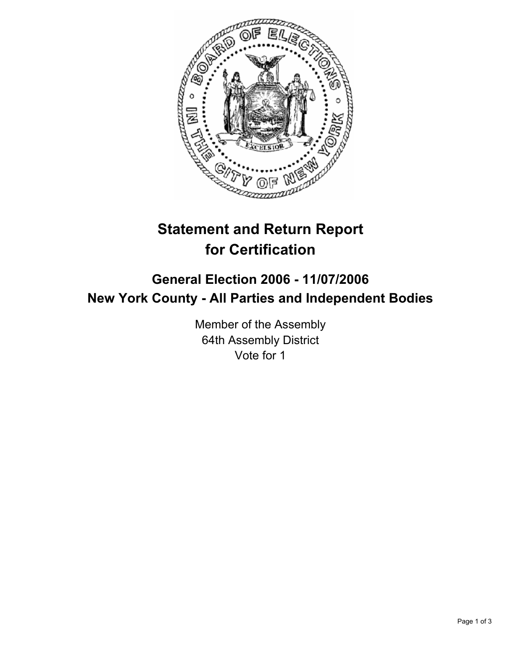

# **Statement and Return Report for Certification**

## **General Election 2006 - 11/07/2006 New York County - All Parties and Independent Bodies**

Member of the Assembly 64th Assembly District Vote for 1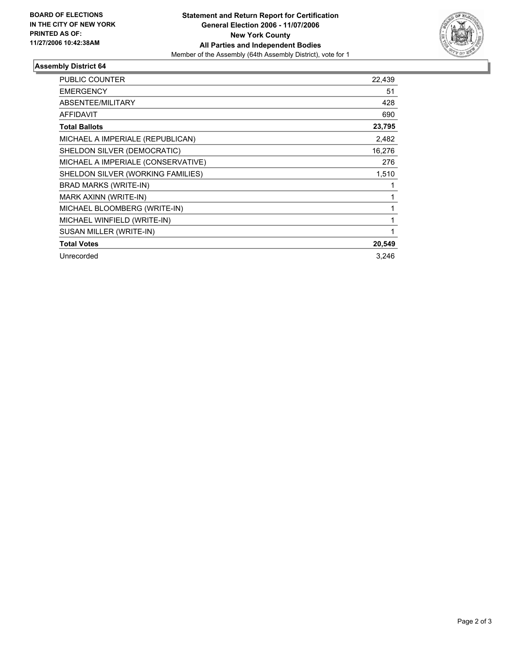

### **Assembly District 64**

| <b>PUBLIC COUNTER</b>              | 22,439 |
|------------------------------------|--------|
| <b>EMERGENCY</b>                   | 51     |
| ABSENTEE/MILITARY                  | 428    |
| AFFIDAVIT                          | 690    |
| <b>Total Ballots</b>               | 23,795 |
| MICHAEL A IMPERIALE (REPUBLICAN)   | 2,482  |
| SHELDON SILVER (DEMOCRATIC)        | 16,276 |
| MICHAEL A IMPERIALE (CONSERVATIVE) | 276    |
| SHELDON SILVER (WORKING FAMILIES)  | 1,510  |
| <b>BRAD MARKS (WRITE-IN)</b>       |        |
| MARK AXINN (WRITE-IN)              |        |
| MICHAEL BLOOMBERG (WRITE-IN)       |        |
| MICHAEL WINFIELD (WRITE-IN)        |        |
| SUSAN MILLER (WRITE-IN)            |        |
| <b>Total Votes</b>                 | 20,549 |
| Unrecorded                         | 3.246  |